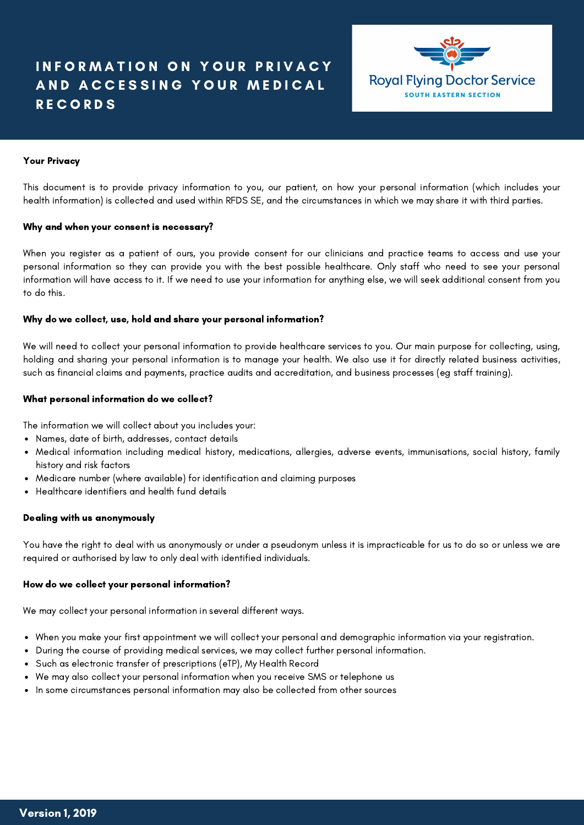# INFORMATION ON YOUR PRIVACY AND ACCESSING YOUR MEDICAL R E C O R D S



## Your Privacy

This document is to provide privacy information to you, our patient, on how your personal information (which includes your health information) is collected and used within RFDS SE, and the circumstances in which we may share it with third parties.

#### Why and when your consent is necessary?

When you register as a patient of ours, you provide consent for our clinicians and practice teams to access and use your personal information so they can provide you with the best possible healthcare. Only staff who need to see your personal information will have access to it. If we need to use your information for anything else, we will seek additional consent from you to do this.

## Why do we collect, use, hold and share your personal information?

We will need to collect your personal information to provide healthcare services to you. Our main purpose for collecting, using, holding and sharing your personal information is to manage your health. We also use it for directly related business activities, such as financial claims and payments, practice audits and accreditation, and business processes (eg staff training).

#### What personal information do we collect?

The information we will collect about you includes your:

- Names, date of birth, addresses, contact details
- Medical information including medical history, medications, allergies, adverse events, immunisations, social history, family history and risk factors
- Medicare number (where available) for identification and claiming purposes
- Healthcare identifiers and health fund details

#### Dealing with us anonymously

You have the right to deal with us anonymously or under a pseudonym unless it is impracticable for us to do so or unless we are required or authorised by law to only deal with identified individuals.

### How do we collect your personal information?

We may collect your personal information in several different ways.

- When you make your first appointment we will collect your personal and demographic information via your registration.
- During the course of providing medical services, we may collect further personal information.
- Such as electronic transfer of prescriptions (eTP), My Health Record
- We may also collect your personal information when you receive SMS or telephone us
- In some circumstances personal information may also be collected from other sources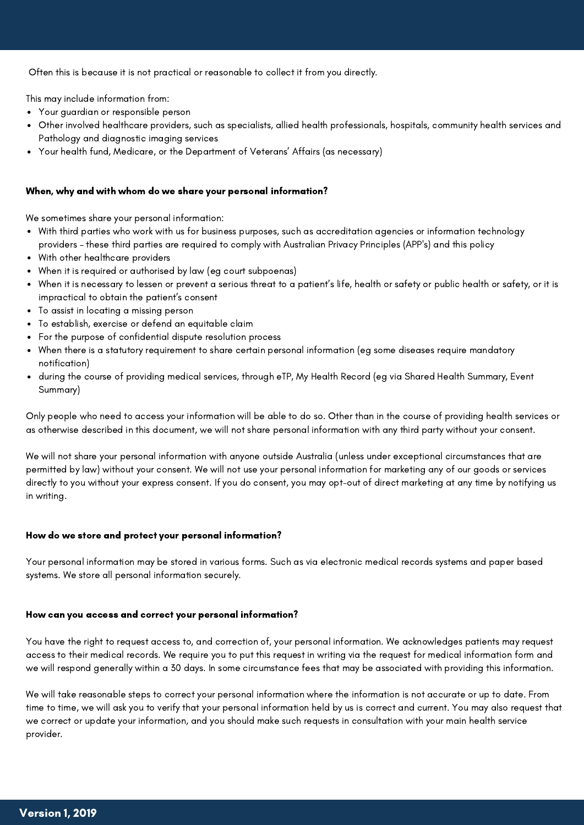Often this is because it is not practical or reasonable to collect it from you directly.

This may include information from:

- Your guardian or responsible person
- Other involved healthcare providers, such as specialists, allied health professionals, hospitals, community health services and Pathology and diagnostic imaging services
- Your health fund, Medicare, or the Department of Veterans' Affairs (as necessary)

# When, why and with whom do we share your personal information?

We sometimes share your personal information:

- With third parties who work with us for business purposes, such as accreditation agencies or information tech<br>providers these third parties are required to comply with Australian Privacy Principles (APP's) and this polic With third parties who work with us for business purposes, such as accreditation agencies or information technology
- With other healthcare providers
- When it is required or authorised by law (eg court subpoenas)
- When it is necessary to lessen or prevent a serious threat to a patient's life, health or safety or public health or safety, or it is impractical to obtain the patient's consent
- To assist in locating a missing person
- To establish, exercise or defend an equitable claim
- For the purpose of confidential dispute resolution process
- When there is a statutory requirement to share certain personal information (eg some diseases require mandatory notification)
- during the course of providing medical services, through eTP, My Health Record (eg via Shared Health Summary, Event Summary)

Only people who need to access your information will be able to do so. Other than in the course of providing health services or as otherwise described in this document, we will not share personal information with any third party without your consent.

We will not share your personal information with anyone outside Australia (unless under exceptional circumstances that are permitted by law) without your consent. We will not use your personal information for marketing any of our goods or services directly to you without your express consent. If you do consent, you may opt-out of direct marketing at any time by notifying us in writing.

# How do we store and protect your personal information?

Your personal information may be stored in various forms. Such as via electronic medical records systems and paper based systems. We store all personal information securely.

## How can you access and correct your personal information?

You have the right to request access to, and correction of, your personal information. We acknowledges patients may request access to their medical records. We require you to put this request in writing via the request for medical information form and we will respond generally within a 30 days. In some circumstance fees that may be associated with providing this information.

We will take reasonable steps to correct your personal information where the information is not accurate or up to date. From time to time, we will ask you to verify that your personal information held by us is correct and current. You may also request that we correct or update your information, and you should make such requests in consultation with your main health service provider.